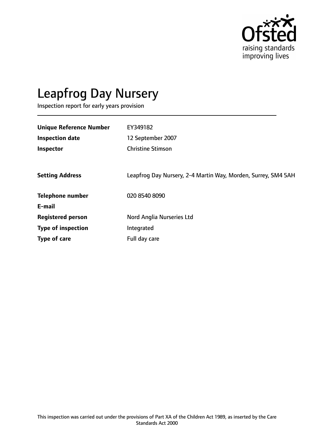

# Leapfrog Day Nursery

Inspection report for early years provision

| <b>Unique Reference Number</b> | EY349182                                                      |
|--------------------------------|---------------------------------------------------------------|
| <b>Inspection date</b>         | 12 September 2007                                             |
| Inspector                      | <b>Christine Stimson</b>                                      |
|                                |                                                               |
| <b>Setting Address</b>         | Leapfrog Day Nursery, 2-4 Martin Way, Morden, Surrey, SM4 5AH |
| <b>Telephone number</b>        | 020 8540 8090                                                 |
| E-mail                         |                                                               |
| <b>Registered person</b>       | Nord Anglia Nurseries Ltd                                     |
| <b>Type of inspection</b>      | Integrated                                                    |
| Type of care                   | Full day care                                                 |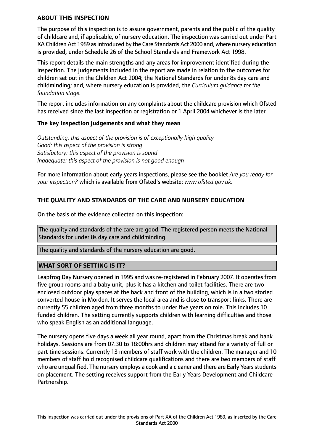#### **ABOUT THIS INSPECTION**

The purpose of this inspection is to assure government, parents and the public of the quality of childcare and, if applicable, of nursery education. The inspection was carried out under Part XA Children Act 1989 as introduced by the Care Standards Act 2000 and, where nursery education is provided, under Schedule 26 of the School Standards and Framework Act 1998.

This report details the main strengths and any areas for improvement identified during the inspection. The judgements included in the report are made in relation to the outcomes for children set out in the Children Act 2004; the National Standards for under 8s day care and childminding; and, where nursery education is provided, the *Curriculum guidance for the foundation stage.*

The report includes information on any complaints about the childcare provision which Ofsted has received since the last inspection or registration or 1 April 2004 whichever is the later.

## **The key inspection judgements and what they mean**

*Outstanding: this aspect of the provision is of exceptionally high quality Good: this aspect of the provision is strong Satisfactory: this aspect of the provision is sound Inadequate: this aspect of the provision is not good enough*

For more information about early years inspections, please see the booklet *Are you ready for your inspection?* which is available from Ofsted's website: *www.ofsted.gov.uk.*

# **THE QUALITY AND STANDARDS OF THE CARE AND NURSERY EDUCATION**

On the basis of the evidence collected on this inspection:

The quality and standards of the care are good. The registered person meets the National Standards for under 8s day care and childminding.

The quality and standards of the nursery education are good.

## **WHAT SORT OF SETTING IS IT?**

Leapfrog Day Nursery opened in 1995 and was re-registered in February 2007. It operates from five group rooms and a baby unit, plus it has a kitchen and toilet facilities. There are two enclosed outdoor play spaces at the back and front of the building, which is in a two storied converted house in Morden. It serves the local area and is close to transport links. There are currently 55 children aged from three months to under five years on role. This includes 10 funded children. The setting currently supports children with learning difficulties and those who speak English as an additional language.

The nursery opens five days a week all year round, apart from the Christmas break and bank holidays. Sessions are from 07.30 to 18:00hrs and children may attend for a variety of full or part time sessions. Currently 13 members of staff work with the children. The manager and 10 members of staff hold recognised childcare qualifications and there are two members of staff who are unqualified. The nursery employs a cook and a cleaner and there are Early Years students on placement. The setting receives support from the Early Years Development and Childcare Partnership.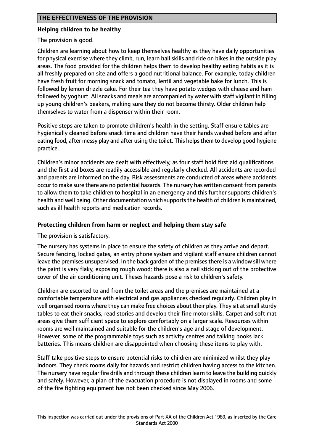## **Helping children to be healthy**

The provision is good.

Children are learning about how to keep themselves healthy as they have daily opportunities for physical exercise where they climb, run, learn ball skills and ride on bikes in the outside play areas. The food provided for the children helps them to develop healthy eating habits as it is all freshly prepared on site and offers a good nutritional balance. For example, today children have fresh fruit for morning snack and tomato, lentil and vegetable bake for lunch. This is followed by lemon drizzle cake. For their tea they have potato wedges with cheese and ham followed by yoghurt. All snacks and meals are accompanied by water with staff vigilant in filling up young children's beakers, making sure they do not become thirsty. Older children help themselves to water from a dispenser within their room.

Positive steps are taken to promote children's health in the setting. Staff ensure tables are hygienically cleaned before snack time and children have their hands washed before and after eating food, after messy play and after using the toilet. This helps them to develop good hygiene practice.

Children's minor accidents are dealt with effectively, as four staff hold first aid qualifications and the first aid boxes are readily accessible and regularly checked. All accidents are recorded and parents are informed on the day. Risk assessments are conducted of areas where accidents occur to make sure there are no potential hazards. The nursery has written consent from parents to allow them to take children to hospital in an emergency and this further supports children's health and well being. Other documentation which supportsthe health of children is maintained, such as ill health reports and medication records.

## **Protecting children from harm or neglect and helping them stay safe**

The provision is satisfactory.

The nursery has systems in place to ensure the safety of children as they arrive and depart. Secure fencing, locked gates, an entry phone system and vigilant staff ensure children cannot leave the premises unsupervised. In the back garden of the premises there is a window sill where the paint is very flaky, exposing rough wood; there is also a nail sticking out of the protective cover of the air conditioning unit. Theses hazards pose a risk to children's safety.

Children are escorted to and from the toilet areas and the premises are maintained at a comfortable temperature with electrical and gas appliances checked regularly. Children play in well organised rooms where they can make free choices about their play. They sit at small sturdy tables to eat their snacks, read stories and develop their fine motor skills. Carpet and soft mat areas give them sufficient space to explore comfortably on a larger scale. Resources within rooms are well maintained and suitable for the children's age and stage of development. However, some of the programmable toys such as activity centres and talking books lack batteries. This means children are disappointed when choosing these items to play with.

Staff take positive steps to ensure potential risks to children are minimized whilst they play indoors. They check rooms daily for hazards and restrict children having access to the kitchen. The nursery have regular fire drills and through these children learn to leave the building quickly and safely. However, a plan of the evacuation procedure is not displayed in rooms and some of the fire fighting equipment has not been checked since May 2006.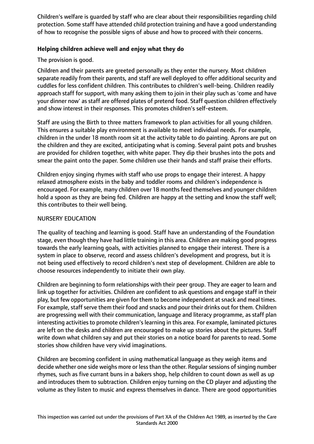Children's welfare is guarded by staff who are clear about their responsibilities regarding child protection. Some staff have attended child protection training and have a good understanding of how to recognise the possible signs of abuse and how to proceed with their concerns.

# **Helping children achieve well and enjoy what they do**

The provision is good.

Children and their parents are greeted personally as they enter the nursery. Most children separate readily from their parents, and staff are well deployed to offer additional security and cuddles for less confident children. This contributes to children's well-being. Children readily approach staff for support, with many asking them to join in their play such as 'come and have your dinner now' as staff are offered plates of pretend food. Staff question children effectively and show interest in their responses. This promotes children's self-esteem.

Staff are using the Birth to three matters framework to plan activities for all young children. This ensures a suitable play environment is available to meet individual needs. For example, children in the under 18 month room sit at the activity table to do painting. Aprons are put on the children and they are excited, anticipating what is coming. Several paint pots and brushes are provided for children together, with white paper. They dip their brushes into the pots and smear the paint onto the paper. Some children use their hands and staff praise their efforts.

Children enjoy singing rhymes with staff who use props to engage their interest. A happy relaxed atmosphere exists in the baby and toddler rooms and children's independence is encouraged. For example, many children over 18 months feed themselves and younger children hold a spoon as they are being fed. Children are happy at the setting and know the staff well; this contributes to their well being.

# NURSERY EDUCATION

The quality of teaching and learning is good. Staff have an understanding of the Foundation stage, even though they have had little training in this area. Children are making good progress towards the early learning goals, with activities planned to engage their interest. There is a system in place to observe, record and assess children's development and progress, but it is not being used effectively to record children's next step of development. Children are able to choose resources independently to initiate their own play.

Children are beginning to form relationships with their peer group. They are eager to learn and link up together for activities. Children are confident to ask questions and engage staff in their play, but few opportunities are given for them to become independent at snack and meal times. For example, staff serve them their food and snacks and pour their drinks out for them. Children are progressing well with their communication, language and literacy programme, as staff plan interesting activities to promote children's learning in this area. For example, laminated pictures are left on the desks and children are encouraged to make up stories about the pictures. Staff write down what children say and put their stories on a notice board for parents to read. Some stories show children have very vivid imaginations.

Children are becoming confident in using mathematical language as they weigh items and decide whether one side weighs more or less than the other. Regular sessions of singing number rhymes, such as five currant buns in a bakers shop, help children to count down as well as up and introduces them to subtraction. Children enjoy turning on the CD player and adjusting the volume as they listen to music and express themselves in dance. There are good opportunities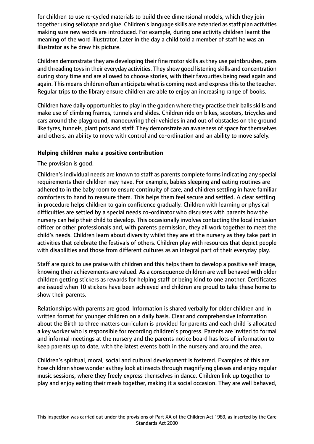for children to use re-cycled materials to build three dimensional models, which they join together using sellotape and glue. Children's language skills are extended as staff plan activities making sure new words are introduced. For example, during one activity children learnt the meaning of the word illustrator. Later in the day a child told a member of staff he was an illustrator as he drew his picture.

Children demonstrate they are developing their fine motor skills as they use paintbrushes, pens and threading toys in their everyday activities. They show good listening skills and concentration during story time and are allowed to choose stories, with their favourites being read again and again. This means children often anticipate what is coming next and express this to the teacher. Regular trips to the library ensure children are able to enjoy an increasing range of books.

Children have daily opportunities to play in the garden where they practise their balls skills and make use of climbing frames, tunnels and slides. Children ride on bikes, scooters, tricycles and cars around the playground, manoeuvring their vehicles in and out of obstacles on the ground like tyres, tunnels, plant pots and staff. They demonstrate an awareness of space for themselves and others, an ability to move with control and co-ordination and an ability to move safely.

## **Helping children make a positive contribution**

The provision is good.

Children's individual needs are known to staff as parents complete forms indicating any special requirements their children may have. For example, babies sleeping and eating routines are adhered to in the baby room to ensure continuity of care, and children settling in have familiar comforters to hand to reassure them. This helps them feel secure and settled. A clear settling in procedure helps children to gain confidence gradually. Children with learning or physical difficulties are settled by a special needs co-ordinator who discusses with parents how the nursery can help their child to develop. This occasionally involves contacting the local inclusion officer or other professionals and, with parents permission, they all work together to meet the child's needs. Children learn about diversity whilst they are at the nursery as they take part in activities that celebrate the festivals of others. Children play with resources that depict people with disabilities and those from different cultures as an integral part of their everyday play.

Staff are quick to use praise with children and this helps them to develop a positive self image, knowing their achievements are valued. As a consequence children are well behaved with older children getting stickers as rewards for helping staff or being kind to one another. Certificates are issued when 10 stickers have been achieved and children are proud to take these home to show their parents.

Relationships with parents are good. Information is shared verbally for older children and in written format for younger children on a daily basis. Clear and comprehensive information about the Birth to three matters curriculum is provided for parents and each child is allocated a key worker who is responsible for recording children's progress. Parents are invited to formal and informal meetings at the nursery and the parents notice board has lots of information to keep parents up to date, with the latest events both in the nursery and around the area.

Children's spiritual, moral, social and cultural development is fostered. Examples of this are how children show wonder as they look at insects through magnifying glasses and enjoy regular music sessions, where they freely express themselves in dance. Children link up together to play and enjoy eating their meals together, making it a social occasion. They are well behaved,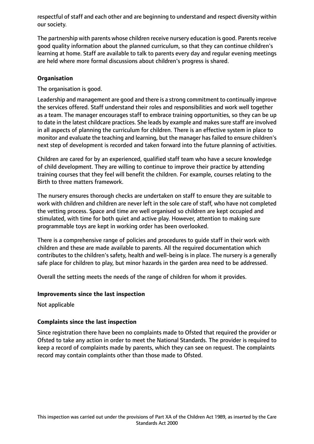respectful of staff and each other and are beginning to understand and respect diversity within our society.

The partnership with parents whose children receive nursery education is good. Parents receive good quality information about the planned curriculum, so that they can continue children's learning at home. Staff are available to talk to parents every day and regular evening meetings are held where more formal discussions about children's progress is shared.

# **Organisation**

The organisation is good.

Leadership and management are good and there is a strong commitment to continually improve the services offered. Staff understand their roles and responsibilities and work well together as a team. The manager encourages staff to embrace training opportunities, so they can be up to date in the latest childcare practices. She leads by example and makes sure staff are involved in all aspects of planning the curriculum for children. There is an effective system in place to monitor and evaluate the teaching and learning, but the manager has failed to ensure children's next step of development is recorded and taken forward into the future planning of activities.

Children are cared for by an experienced, qualified staff team who have a secure knowledge of child development. They are willing to continue to improve their practice by attending training courses that they feel will benefit the children. For example, courses relating to the Birth to three matters framework.

The nursery ensures thorough checks are undertaken on staff to ensure they are suitable to work with children and children are never left in the sole care of staff, who have not completed the vetting process. Space and time are well organised so children are kept occupied and stimulated, with time for both quiet and active play. However, attention to making sure programmable toys are kept in working order has been overlooked.

There is a comprehensive range of policies and procedures to guide staff in their work with children and these are made available to parents. All the required documentation which contributes to the children's safety, health and well-being is in place. The nursery is a generally safe place for children to play, but minor hazards in the garden area need to be addressed.

Overall the setting meets the needs of the range of children for whom it provides.

## **Improvements since the last inspection**

Not applicable

## **Complaints since the last inspection**

Since registration there have been no complaints made to Ofsted that required the provider or Ofsted to take any action in order to meet the National Standards. The provider is required to keep a record of complaints made by parents, which they can see on request. The complaints record may contain complaints other than those made to Ofsted.